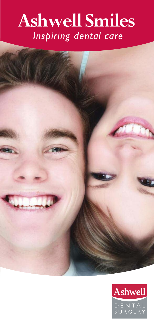# **Ashwell Smiles**<br>*Inspiring dental care*



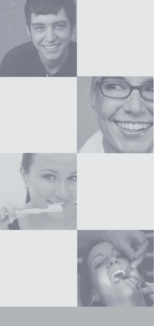





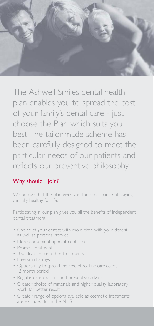

plan enables you to spread the cost of your family's dental care - just choose the Plan which suits you best.The tailor-made scheme has been carefully designed to meet the particular needs of our patients and reflects our preventive philosophy. The Ashwell Smiles dental health

### Why should I join?

We believe that the plan gives you the best chance of staying dentally healthy for life.

Participating in our plan gives you all the benefits of independent dental treatment:

- Choice of your dentist with more time with your dentist as well as personal service
- More convenient appointment times
- Prompt treatment
- 10% discount on other treatments
- Free small x-rays
- Opportunity to spread the cost of routine care over a 12 month period
- Regular examinations and preventive advice
- Greater choice of materials and higher quality laboratory work for better result
- Greater range of options available as cosmetic treatments are excluded from the NHS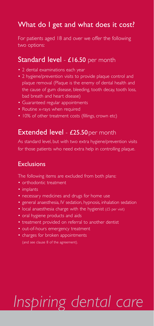## What do I get and what does it cost?

For patients aged 18 and over we offer the following two options:

### Standard level - £16.50 per month

- 2 dental examinations each year
- 2 hygiene/prevention visits to provide plaque control and plaque removal (Plaque is the enemy of dental health and the cause of gum disease, bleeding, tooth decay, tooth loss, bad breath and heart disease)
- Guaranteed regular appointments
- Routine x-rays when required
- 10% of other treatment costs (fillings, crown etc)

### Extended level - £25.50 per month

As standard level, but with two extra hygiene/prevention visits for those patients who need extra help in controlling plaque.

### **Exclusions**

The following items are excluded from both plans:

- orthodontic treatment
- implants
- necessary medicines and drugs for home use
- general anaesthesia, IV sedation, hypnosis, inhalation sedation
- local anaesthesia charge with the hygienist (£5 per visit)
- oral hygiene products and aids
- treatment provided on referral to another dentist
- out-of-hours emergency treatment
- charges for broken appointments (and see clause 8 of the agreement).

# *Inspiring dental care*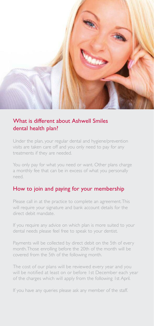

### dental health plan? What is different about Ashwell Smiles

Under the plan, your regular dental and hygiene/prevention visits are taken care off and you only need to pay for any treatments if they are needed.

You only pay for what you need or want. Other plans charge a monthly fee that can be in excess of what you personally need.

### How to join and paying for your membership

Please call in at the practice to complete an agreement.This will require your signature and bank account details for the direct debit mandate.

If you require any advice on which plan is more suited to your dental needs please feel free to speak to your dentist.

Payments will be collected by direct debit on the 5th of every month.Those enrolling before the 20th of the month will be covered from the 5th of the following month.

The cost of our plans will be reviewed every year and you will be notified at least on or before 1st December each year of the charges which will apply from the following 1st April.

If you have any queries please ask any member of the staff.